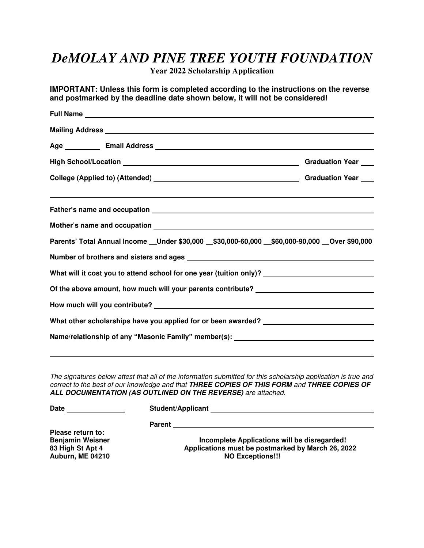## *DeMOLAY AND PINE TREE YOUTH FOUNDATION*

**Year 2022 Scholarship Application** 

**IMPORTANT: Unless this form is completed according to the instructions on the reverse and postmarked by the deadline date shown below, it will not be considered!** 

| Mailing Address <b>Mailing Address Mailing Address Mailing Address <b>Mailing Address Mailing Address</b></b>                                                                                   |  |                                                                                  |  |
|-------------------------------------------------------------------------------------------------------------------------------------------------------------------------------------------------|--|----------------------------------------------------------------------------------|--|
|                                                                                                                                                                                                 |  |                                                                                  |  |
|                                                                                                                                                                                                 |  |                                                                                  |  |
|                                                                                                                                                                                                 |  |                                                                                  |  |
|                                                                                                                                                                                                 |  |                                                                                  |  |
|                                                                                                                                                                                                 |  |                                                                                  |  |
| Parents' Total Annual Income _Under \$30,000 _\$30,000-60,000 _\$60,000-90,000 _Over \$90,000                                                                                                   |  |                                                                                  |  |
|                                                                                                                                                                                                 |  |                                                                                  |  |
| What will it cost you to attend school for one year (tuition only)? ________________________________<br>Of the above amount, how much will your parents contribute? ___________________________ |  |                                                                                  |  |
|                                                                                                                                                                                                 |  | What other scholarships have you applied for or been awarded? __________________ |  |
|                                                                                                                                                                                                 |  | Name/relationship of any "Masonic Family" member(s): ___________________________ |  |
|                                                                                                                                                                                                 |  |                                                                                  |  |
|                                                                                                                                                                                                 |  |                                                                                  |  |

The signatures below attest that all of the information submitted for this scholarship application is true and correct to the best of our knowledge and that **THREE COPIES OF THIS FORM** and **THREE COPIES OF ALL DOCUMENTATION (AS OUTLINED ON THE REVERSE)** are attached.

**Date Student/Applicant** 

 **Parent** 

**Please return to: Auburn, ME 04210** 

**Benjamin Weisner 19th Complete Applications will be disregarded!**<br> **Incomplete Applications will be disregarded!**<br> **Applications must be postmarked by March 26, 20 83 High St Apt 4 Applications must be postmarked by March 26, 2022**